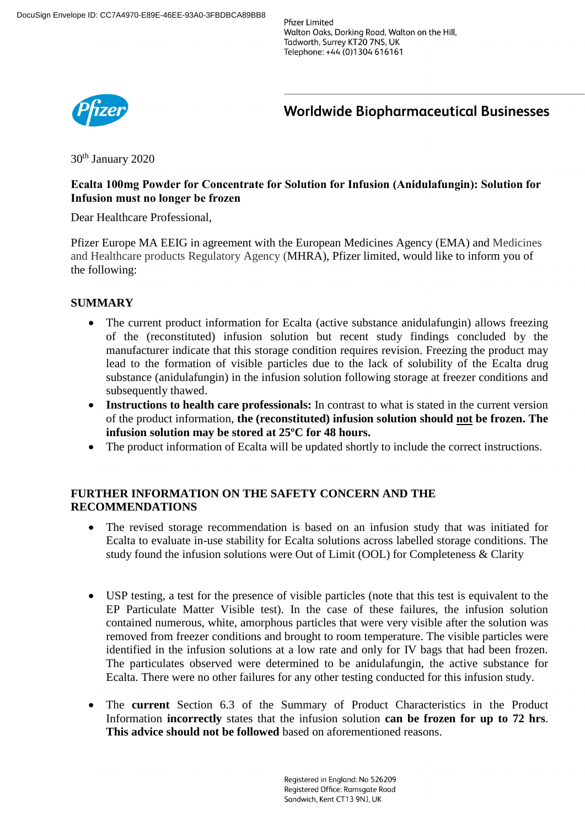**Pfizer Limited** Walton Oaks, Dorking Road, Walton on the Hill, Tadworth, Surrey KT20 7NS, UK Telephone: +44 (0)1304 616161



**Worldwide Biopharmaceutical Businesses** 

30th January 2020

# **Ecalta 100mg Powder for Concentrate for Solution for Infusion (Anidulafungin): Solution for Infusion must no longer be frozen**

Dear Healthcare Professional,

Pfizer Europe MA EEIG in agreement with the European Medicines Agency (EMA) and Medicines and Healthcare products Regulatory Agency (MHRA), Pfizer limited, would like to inform you of the following:

# **SUMMARY**

- The current product information for Ecalta (active substance anidulafungin) allows freezing of the (reconstituted) infusion solution but recent study findings concluded by the manufacturer indicate that this storage condition requires revision. Freezing the product may lead to the formation of visible particles due to the lack of solubility of the Ecalta drug substance (anidulafungin) in the infusion solution following storage at freezer conditions and subsequently thawed.
- Instructions to health care professionals: In contrast to what is stated in the current version of the product information, **the (reconstituted) infusion solution should not be frozen. The infusion solution may be stored at 25ºC for 48 hours.**
- The product information of Ecalta will be updated shortly to include the correct instructions.

# **FURTHER INFORMATION ON THE SAFETY CONCERN AND THE RECOMMENDATIONS**

- The revised storage recommendation is based on an infusion study that was initiated for Ecalta to evaluate in-use stability for Ecalta solutions across labelled storage conditions. The study found the infusion solutions were Out of Limit (OOL) for Completeness & Clarity
- USP testing, a test for the presence of visible particles (note that this test is equivalent to the EP Particulate Matter Visible test). In the case of these failures, the infusion solution contained numerous, white, amorphous particles that were very visible after the solution was removed from freezer conditions and brought to room temperature. The visible particles were identified in the infusion solutions at a low rate and only for IV bags that had been frozen. The particulates observed were determined to be anidulafungin, the active substance for Ecalta. There were no other failures for any other testing conducted for this infusion study.
- The **current** Section 6.3 of the Summary of Product Characteristics in the Product Information **incorrectly** states that the infusion solution **can be frozen for up to 72 hrs**. **This advice should not be followed** based on aforementioned reasons.

Registered in England: No 526209 Registered Office: Ramsgate Road Sandwich, Kent CT13 9NJ, UK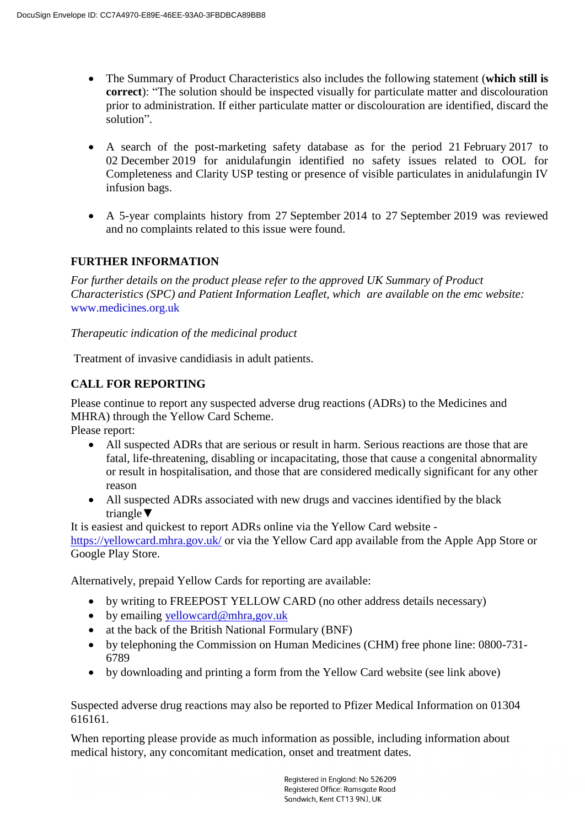- The Summary of Product Characteristics also includes the following statement (**which still is correct**): "The solution should be inspected visually for particulate matter and discolouration prior to administration. If either particulate matter or discolouration are identified, discard the solution".
- A search of the post-marketing safety database as for the period 21 February 2017 to 02 December 2019 for anidulafungin identified no safety issues related to OOL for Completeness and Clarity USP testing or presence of visible particulates in anidulafungin IV infusion bags.
- A 5-year complaints history from 27 September 2014 to 27 September 2019 was reviewed and no complaints related to this issue were found.

# **FURTHER INFORMATION**

*For further details on the product please refer to the approved UK Summary of Product Characteristics (SPC) and Patient Information Leaflet, which are available on the emc website:* [www.medicines.org.uk](http://www.medicines.org.uk/)

*Therapeutic indication of the medicinal product*

Treatment of invasive candidiasis in adult patients.

# **CALL FOR REPORTING**

Please continue to report any suspected adverse drug reactions (ADRs) to the Medicines and MHRA) through the Yellow Card Scheme.

Please report:

- All suspected ADRs that are serious or result in harm. Serious reactions are those that are fatal, life-threatening, disabling or incapacitating, those that cause a congenital abnormality or result in hospitalisation, and those that are considered medically significant for any other reason
- All suspected ADRs associated with new drugs and vaccines identified by the black triangle**▼**

It is easiest and quickest to report ADRs online via the Yellow Card website -

<https://yellowcard.mhra.gov.uk/> or via the Yellow Card app available from the Apple App Store or Google Play Store.

Alternatively, prepaid Yellow Cards for reporting are available:

- by writing to FREEPOST YELLOW CARD (no other address details necessary)
- $\bullet$  by emailing [yellowcard@mhra,gov.uk](mailto:yellowcard@mhra,gov.uk)
- at the back of the British National Formulary (BNF)
- by telephoning the Commission on Human Medicines (CHM) free phone line: 0800-731- 6789
- by downloading and printing a form from the Yellow Card website (see link above)

Suspected adverse drug reactions may also be reported to Pfizer Medical Information on 01304 616161.

When reporting please provide as much information as possible, including information about medical history, any concomitant medication, onset and treatment dates.

> Registered in England: No 526209 Registered Office: Ramsgate Road Sandwich, Kent CT13 9NJ, UK